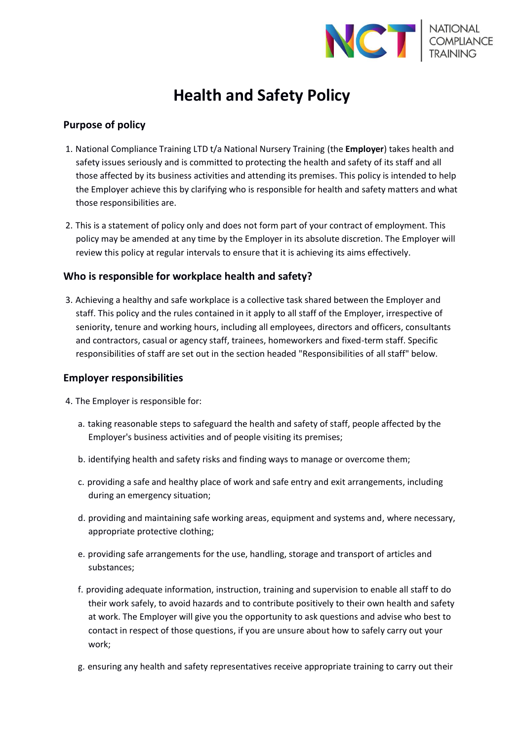

# **Health and Safety Policy**

### **Purpose of policy**

- 1. National Compliance Training LTD t/a National Nursery Training (the **Employer**) takes health and safety issues seriously and is committed to protecting the health and safety of its staff and all those affected by its business activities and attending its premises. This policy is intended to help the Employer achieve this by clarifying who is responsible for health and safety matters and what those responsibilities are.
- 2. This is a statement of policy only and does not form part of your contract of employment. This policy may be amended at any time by the Employer in its absolute discretion. The Employer will review this policy at regular intervals to ensure that it is achieving its aims effectively.

## **Who is responsible for workplace health and safety?**

3. Achieving a healthy and safe workplace is a collective task shared between the Employer and staff. This policy and the rules contained in it apply to all staff of the Employer, irrespective of seniority, tenure and working hours, including all employees, directors and officers, consultants and contractors, casual or agency staff, trainees, homeworkers and fixed-term staff. Specific responsibilities of staff are set out in the section headed "Responsibilities of all staff" below.

### **Employer responsibilities**

- 4. The Employer is responsible for:
	- a. taking reasonable steps to safeguard the health and safety of staff, people affected by the Employer's business activities and of people visiting its premises;
	- b. identifying health and safety risks and finding ways to manage or overcome them;
	- c. providing a safe and healthy place of work and safe entry and exit arrangements, including during an emergency situation;
	- d. providing and maintaining safe working areas, equipment and systems and, where necessary, appropriate protective clothing;
	- e. providing safe arrangements for the use, handling, storage and transport of articles and substances;
	- f. providing adequate information, instruction, training and supervision to enable all staff to do their work safely, to avoid hazards and to contribute positively to their own health and safety at work. The Employer will give you the opportunity to ask questions and advise who best to contact in respect of those questions, if you are unsure about how to safely carry out your work;
	- g. ensuring any health and safety representatives receive appropriate training to carry out their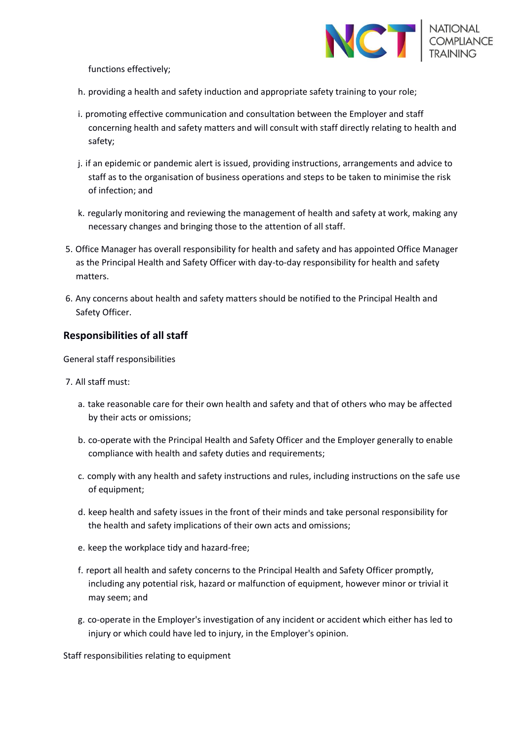

functions effectively;

- h. providing a health and safety induction and appropriate safety training to your role;
- i. promoting effective communication and consultation between the Employer and staff concerning health and safety matters and will consult with staff directly relating to health and safety;
- j. if an epidemic or pandemic alert is issued, providing instructions, arrangements and advice to staff as to the organisation of business operations and steps to be taken to minimise the risk of infection; and
- k. regularly monitoring and reviewing the management of health and safety at work, making any necessary changes and bringing those to the attention of all staff.
- 5. Office Manager has overall responsibility for health and safety and has appointed Office Manager as the Principal Health and Safety Officer with day-to-day responsibility for health and safety matters.
- 6. Any concerns about health and safety matters should be notified to the Principal Health and Safety Officer.

#### **Responsibilities of all staff**

General staff responsibilities

- 7. All staff must:
	- a. take reasonable care for their own health and safety and that of others who may be affected by their acts or omissions;
	- b. co-operate with the Principal Health and Safety Officer and the Employer generally to enable compliance with health and safety duties and requirements;
	- c. comply with any health and safety instructions and rules, including instructions on the safe use of equipment;
	- d. keep health and safety issues in the front of their minds and take personal responsibility for the health and safety implications of their own acts and omissions;
	- e. keep the workplace tidy and hazard-free;
	- f. report all health and safety concerns to the Principal Health and Safety Officer promptly, including any potential risk, hazard or malfunction of equipment, however minor or trivial it may seem; and
	- g. co-operate in the Employer's investigation of any incident or accident which either has led to injury or which could have led to injury, in the Employer's opinion.

Staff responsibilities relating to equipment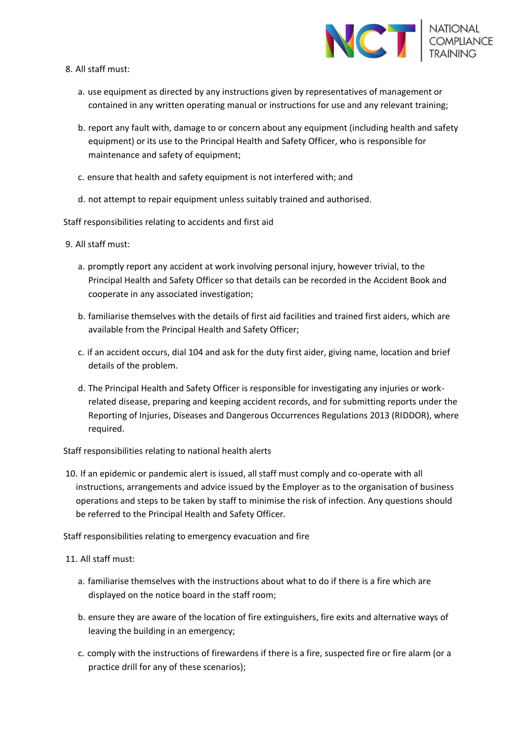

- 8. All staff must:
	- a. use equipment as directed by any instructions given by representatives of management or contained in any written operating manual or instructions for use and any relevant training;
	- b. report any fault with, damage to or concern about any equipment (including health and safety equipment) or its use to the Principal Health and Safety Officer, who is responsible for maintenance and safety of equipment;
	- c. ensure that health and safety equipment is not interfered with; and
	- d. not attempt to repair equipment unless suitably trained and authorised.

Staff responsibilities relating to accidents and first aid

- 9. All staff must:
	- a. promptly report any accident at work involving personal injury, however trivial, to the Principal Health and Safety Officer so that details can be recorded in the Accident Book and cooperate in any associated investigation;
	- b. familiarise themselves with the details of first aid facilities and trained first aiders, which are available from the Principal Health and Safety Officer;
	- c. if an accident occurs, dial 104 and ask for the duty first aider, giving name, location and brief details of the problem.
	- d. The Principal Health and Safety Officer is responsible for investigating any injuries or workrelated disease, preparing and keeping accident records, and for submitting reports under the Reporting of Injuries, Diseases and Dangerous Occurrences Regulations 2013 (RIDDOR), where required.

Staff responsibilities relating to national health alerts

10. If an epidemic or pandemic alert is issued, all staff must comply and co-operate with all instructions, arrangements and advice issued by the Employer as to the organisation of business operations and steps to be taken by staff to minimise the risk of infection. Any questions should be referred to the Principal Health and Safety Officer.

Staff responsibilities relating to emergency evacuation and fire

11. All staff must:

- a. familiarise themselves with the instructions about what to do if there is a fire which are displayed on the notice board in the staff room;
- b. ensure they are aware of the location of fire extinguishers, fire exits and alternative ways of leaving the building in an emergency;
- c. comply with the instructions of firewardens if there is a fire, suspected fire or fire alarm (or a practice drill for any of these scenarios);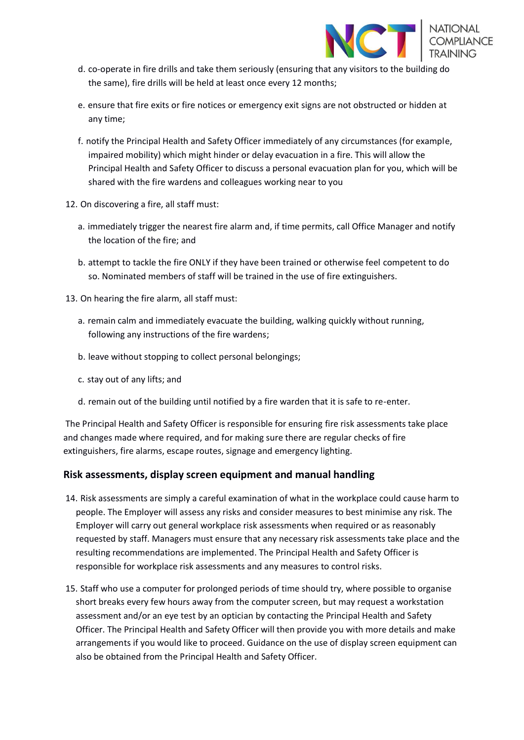

- d. co-operate in fire drills and take them seriously (ensuring that any visitors to the building do the same), fire drills will be held at least once every 12 months;
- e. ensure that fire exits or fire notices or emergency exit signs are not obstructed or hidden at any time;
- f. notify the Principal Health and Safety Officer immediately of any circumstances (for example, impaired mobility) which might hinder or delay evacuation in a fire. This will allow the Principal Health and Safety Officer to discuss a personal evacuation plan for you, which will be shared with the fire wardens and colleagues working near to you
- 12. On discovering a fire, all staff must:
	- a. immediately trigger the nearest fire alarm and, if time permits, call Office Manager and notify the location of the fire; and
	- b. attempt to tackle the fire ONLY if they have been trained or otherwise feel competent to do so. Nominated members of staff will be trained in the use of fire extinguishers.
- 13. On hearing the fire alarm, all staff must:
	- a. remain calm and immediately evacuate the building, walking quickly without running, following any instructions of the fire wardens;
	- b. leave without stopping to collect personal belongings;
	- c. stay out of any lifts; and
	- d. remain out of the building until notified by a fire warden that it is safe to re-enter.

The Principal Health and Safety Officer is responsible for ensuring fire risk assessments take place and changes made where required, and for making sure there are regular checks of fire extinguishers, fire alarms, escape routes, signage and emergency lighting.

### **Risk assessments, display screen equipment and manual handling**

- 14. Risk assessments are simply a careful examination of what in the workplace could cause harm to people. The Employer will assess any risks and consider measures to best minimise any risk. The Employer will carry out general workplace risk assessments when required or as reasonably requested by staff. Managers must ensure that any necessary risk assessments take place and the resulting recommendations are implemented. The Principal Health and Safety Officer is responsible for workplace risk assessments and any measures to control risks.
- 15. Staff who use a computer for prolonged periods of time should try, where possible to organise short breaks every few hours away from the computer screen, but may request a workstation assessment and/or an eye test by an optician by contacting the Principal Health and Safety Officer. The Principal Health and Safety Officer will then provide you with more details and make arrangements if you would like to proceed. Guidance on the use of display screen equipment can also be obtained from the Principal Health and Safety Officer.